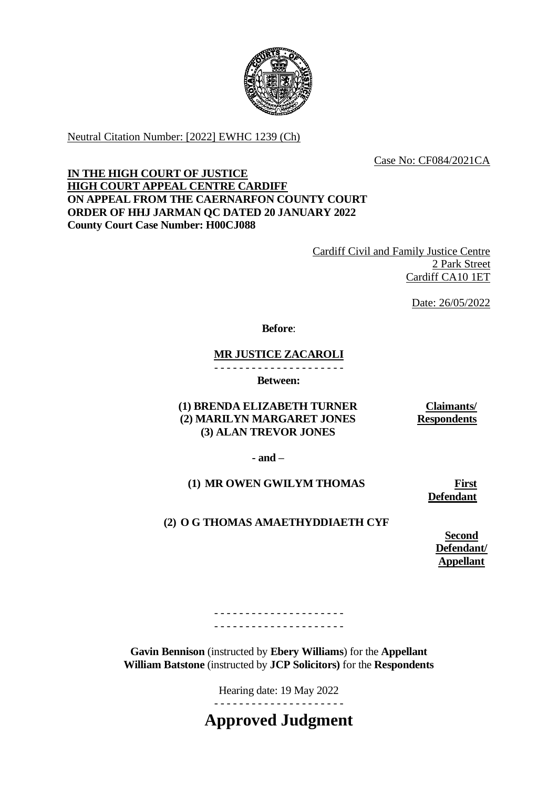

Neutral Citation Number: [2022] EWHC 1239 (Ch)

Case No: CF084/2021CA

## **IN THE HIGH COURT OF JUSTICE HIGH COURT APPEAL CENTRE CARDIFF ON APPEAL FROM THE CAERNARFON COUNTY COURT ORDER OF HHJ JARMAN QC DATED 20 JANUARY 2022 County Court Case Number: H00CJ088**

Cardiff Civil and Family Justice Centre 2 Park Street Cardiff CA10 1ET

Date: 26/05/2022

## **Before**:

## **MR JUSTICE ZACAROLI**

- - - - - - - - - - - - - - - - - - - - - **Between:**

**(1) BRENDA ELIZABETH TURNER (2) MARILYN MARGARET JONES (3) ALAN TREVOR JONES**

**Claimants/ Respondents**

**- and –**

## **(1) MR OWEN GWILYM THOMAS**

**First Defendant**

# **(2) O G THOMAS AMAETHYDDIAETH CYF**

**Second Defendant/ Appellant**

- - - - - - - - - - - - - - - - - - - - - - - - - - - - - - - - - - - - - - - - - -

**Gavin Bennison** (instructed by **Ebery Williams**) for the **Appellant William Batstone** (instructed by **JCP Solicitors)** for the **Respondents**

Hearing date: 19 May 2022

**Approved Judgment**

- - - - - - - - - - - - - - - - - - - - -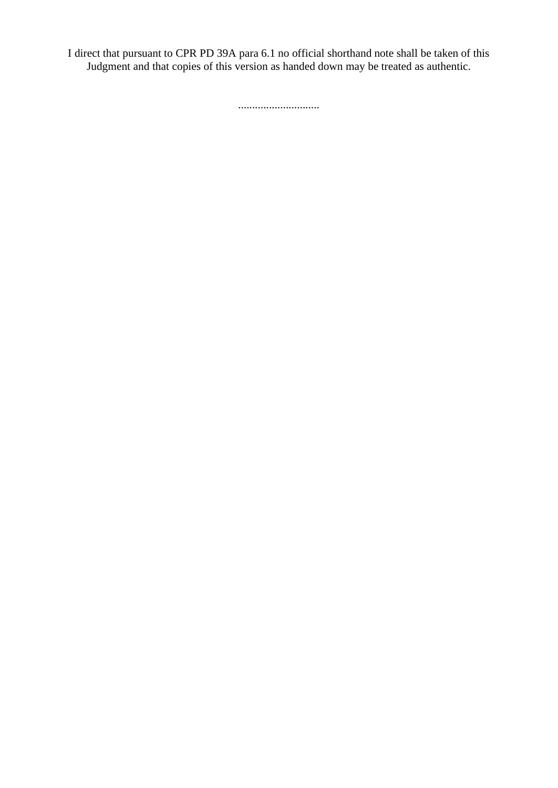I direct that pursuant to CPR PD 39A para 6.1 no official shorthand note shall be taken of this Judgment and that copies of this version as handed down may be treated as authentic.

.............................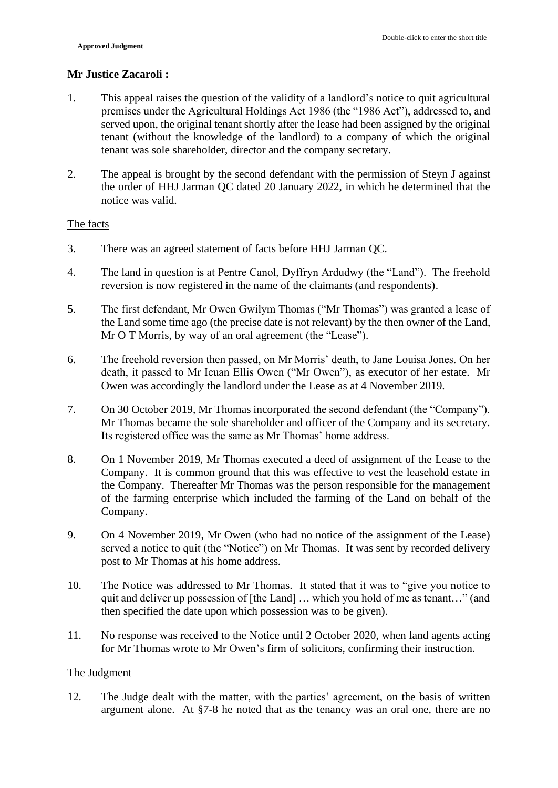## **Mr Justice Zacaroli :**

- 1. This appeal raises the question of the validity of a landlord's notice to quit agricultural premises under the Agricultural Holdings Act 1986 (the "1986 Act"), addressed to, and served upon, the original tenant shortly after the lease had been assigned by the original tenant (without the knowledge of the landlord) to a company of which the original tenant was sole shareholder, director and the company secretary.
- 2. The appeal is brought by the second defendant with the permission of Steyn J against the order of HHJ Jarman QC dated 20 January 2022, in which he determined that the notice was valid.

### The facts

- 3. There was an agreed statement of facts before HHJ Jarman QC.
- 4. The land in question is at Pentre Canol, Dyffryn Ardudwy (the "Land"). The freehold reversion is now registered in the name of the claimants (and respondents).
- 5. The first defendant, Mr Owen Gwilym Thomas ("Mr Thomas") was granted a lease of the Land some time ago (the precise date is not relevant) by the then owner of the Land, Mr O T Morris, by way of an oral agreement (the "Lease").
- 6. The freehold reversion then passed, on Mr Morris' death, to Jane Louisa Jones. On her death, it passed to Mr Ieuan Ellis Owen ("Mr Owen"), as executor of her estate. Mr Owen was accordingly the landlord under the Lease as at 4 November 2019.
- 7. On 30 October 2019, Mr Thomas incorporated the second defendant (the "Company"). Mr Thomas became the sole shareholder and officer of the Company and its secretary. Its registered office was the same as Mr Thomas' home address.
- 8. On 1 November 2019, Mr Thomas executed a deed of assignment of the Lease to the Company. It is common ground that this was effective to vest the leasehold estate in the Company. Thereafter Mr Thomas was the person responsible for the management of the farming enterprise which included the farming of the Land on behalf of the Company.
- 9. On 4 November 2019, Mr Owen (who had no notice of the assignment of the Lease) served a notice to quit (the "Notice") on Mr Thomas. It was sent by recorded delivery post to Mr Thomas at his home address.
- 10. The Notice was addressed to Mr Thomas. It stated that it was to "give you notice to quit and deliver up possession of [the Land] … which you hold of me as tenant…" (and then specified the date upon which possession was to be given).
- 11. No response was received to the Notice until 2 October 2020, when land agents acting for Mr Thomas wrote to Mr Owen's firm of solicitors, confirming their instruction.

## The Judgment

12. The Judge dealt with the matter, with the parties' agreement, on the basis of written argument alone. At §7-8 he noted that as the tenancy was an oral one, there are no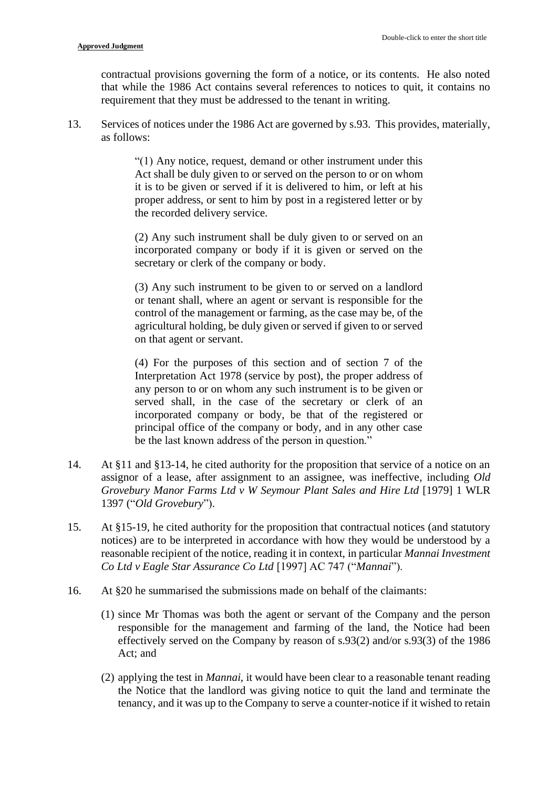contractual provisions governing the form of a notice, or its contents. He also noted that while the 1986 Act contains several references to notices to quit, it contains no requirement that they must be addressed to the tenant in writing.

13. Services of notices under the 1986 Act are governed by s.93. This provides, materially, as follows:

> "(1) Any notice, request, demand or other instrument under this Act shall be duly given to or served on the person to or on whom it is to be given or served if it is delivered to him, or left at his proper address, or sent to him by post in a registered letter or by the recorded delivery service.

> (2) Any such instrument shall be duly given to or served on an incorporated company or body if it is given or served on the secretary or clerk of the company or body.

> (3) Any such instrument to be given to or served on a landlord or tenant shall, where an agent or servant is responsible for the control of the management or farming, as the case may be, of the agricultural holding, be duly given or served if given to or served on that agent or servant.

> (4) For the purposes of this section and of section 7 of the Interpretation Act 1978 (service by post), the proper address of any person to or on whom any such instrument is to be given or served shall, in the case of the secretary or clerk of an incorporated company or body, be that of the registered or principal office of the company or body, and in any other case be the last known address of the person in question."

- 14. At §11 and §13-14, he cited authority for the proposition that service of a notice on an assignor of a lease, after assignment to an assignee, was ineffective, including *Old Grovebury Manor Farms Ltd v W Seymour Plant Sales and Hire Ltd* [1979] 1 WLR 1397 ("*Old Grovebury*").
- 15. At §15-19, he cited authority for the proposition that contractual notices (and statutory notices) are to be interpreted in accordance with how they would be understood by a reasonable recipient of the notice, reading it in context, in particular *Mannai Investment Co Ltd v Eagle Star Assurance Co Ltd* [1997] AC 747 ("*Mannai*").
- 16. At §20 he summarised the submissions made on behalf of the claimants:
	- (1) since Mr Thomas was both the agent or servant of the Company and the person responsible for the management and farming of the land, the Notice had been effectively served on the Company by reason of s.93(2) and/or s.93(3) of the 1986 Act; and
	- (2) applying the test in *Mannai*, it would have been clear to a reasonable tenant reading the Notice that the landlord was giving notice to quit the land and terminate the tenancy, and it was up to the Company to serve a counter-notice if it wished to retain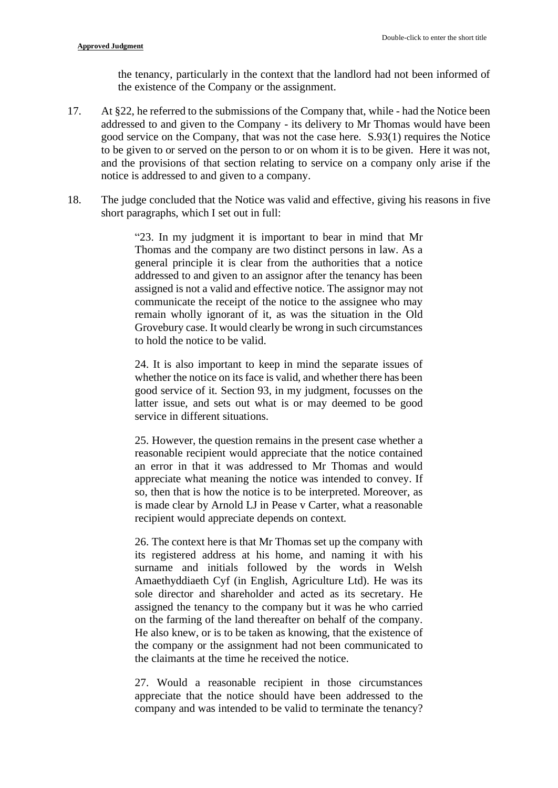the tenancy, particularly in the context that the landlord had not been informed of the existence of the Company or the assignment.

- 17. At §22, he referred to the submissions of the Company that, while had the Notice been addressed to and given to the Company - its delivery to Mr Thomas would have been good service on the Company, that was not the case here. S.93(1) requires the Notice to be given to or served on the person to or on whom it is to be given. Here it was not, and the provisions of that section relating to service on a company only arise if the notice is addressed to and given to a company.
- 18. The judge concluded that the Notice was valid and effective, giving his reasons in five short paragraphs, which I set out in full:

"23. In my judgment it is important to bear in mind that Mr Thomas and the company are two distinct persons in law. As a general principle it is clear from the authorities that a notice addressed to and given to an assignor after the tenancy has been assigned is not a valid and effective notice. The assignor may not communicate the receipt of the notice to the assignee who may remain wholly ignorant of it, as was the situation in the Old Grovebury case. It would clearly be wrong in such circumstances to hold the notice to be valid.

24. It is also important to keep in mind the separate issues of whether the notice on its face is valid, and whether there has been good service of it. Section 93, in my judgment, focusses on the latter issue, and sets out what is or may deemed to be good service in different situations.

25. However, the question remains in the present case whether a reasonable recipient would appreciate that the notice contained an error in that it was addressed to Mr Thomas and would appreciate what meaning the notice was intended to convey. If so, then that is how the notice is to be interpreted. Moreover, as is made clear by Arnold LJ in Pease v Carter, what a reasonable recipient would appreciate depends on context.

26. The context here is that Mr Thomas set up the company with its registered address at his home, and naming it with his surname and initials followed by the words in Welsh Amaethyddiaeth Cyf (in English, Agriculture Ltd). He was its sole director and shareholder and acted as its secretary. He assigned the tenancy to the company but it was he who carried on the farming of the land thereafter on behalf of the company. He also knew, or is to be taken as knowing, that the existence of the company or the assignment had not been communicated to the claimants at the time he received the notice.

27. Would a reasonable recipient in those circumstances appreciate that the notice should have been addressed to the company and was intended to be valid to terminate the tenancy?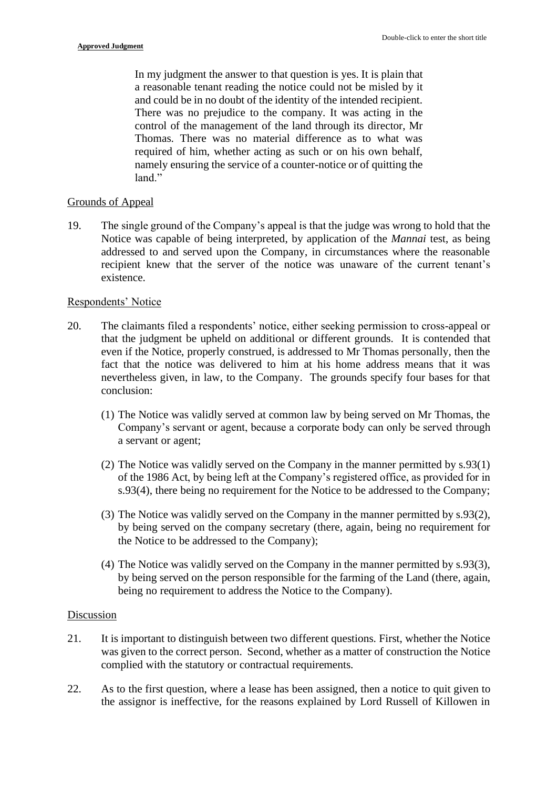In my judgment the answer to that question is yes. It is plain that a reasonable tenant reading the notice could not be misled by it and could be in no doubt of the identity of the intended recipient. There was no prejudice to the company. It was acting in the control of the management of the land through its director, Mr Thomas. There was no material difference as to what was required of him, whether acting as such or on his own behalf, namely ensuring the service of a counter-notice or of quitting the land."

### Grounds of Appeal

19. The single ground of the Company's appeal is that the judge was wrong to hold that the Notice was capable of being interpreted, by application of the *Mannai* test, as being addressed to and served upon the Company, in circumstances where the reasonable recipient knew that the server of the notice was unaware of the current tenant's existence.

### Respondents' Notice

- 20. The claimants filed a respondents' notice, either seeking permission to cross-appeal or that the judgment be upheld on additional or different grounds. It is contended that even if the Notice, properly construed, is addressed to Mr Thomas personally, then the fact that the notice was delivered to him at his home address means that it was nevertheless given, in law, to the Company. The grounds specify four bases for that conclusion:
	- (1) The Notice was validly served at common law by being served on Mr Thomas, the Company's servant or agent, because a corporate body can only be served through a servant or agent;
	- (2) The Notice was validly served on the Company in the manner permitted by s.93(1) of the 1986 Act, by being left at the Company's registered office, as provided for in s.93(4), there being no requirement for the Notice to be addressed to the Company;
	- (3) The Notice was validly served on the Company in the manner permitted by s.93(2), by being served on the company secretary (there, again, being no requirement for the Notice to be addressed to the Company);
	- (4) The Notice was validly served on the Company in the manner permitted by s.93(3), by being served on the person responsible for the farming of the Land (there, again, being no requirement to address the Notice to the Company).

#### Discussion

- 21. It is important to distinguish between two different questions. First, whether the Notice was given to the correct person. Second, whether as a matter of construction the Notice complied with the statutory or contractual requirements.
- 22. As to the first question, where a lease has been assigned, then a notice to quit given to the assignor is ineffective, for the reasons explained by Lord Russell of Killowen in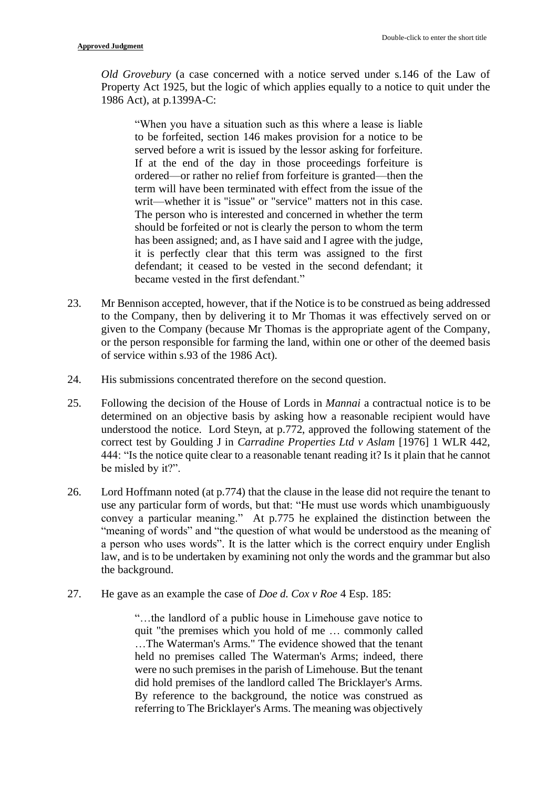*Old Grovebury* (a case concerned with a notice served under s.146 of the Law of Property Act 1925, but the logic of which applies equally to a notice to quit under the 1986 Act), at p.1399A-C:

"When you have a situation such as this where a lease is liable to be forfeited, section 146 makes provision for a notice to be served before a writ is issued by the lessor asking for forfeiture. If at the end of the day in those proceedings forfeiture is ordered—or rather no relief from forfeiture is granted—then the term will have been terminated with effect from the issue of the writ—whether it is "issue" or "service" matters not in this case. The person who is interested and concerned in whether the term should be forfeited or not is clearly the person to whom the term has been assigned; and, as I have said and I agree with the judge, it is perfectly clear that this term was assigned to the first defendant; it ceased to be vested in the second defendant; it became vested in the first defendant."

- 23. Mr Bennison accepted, however, that if the Notice is to be construed as being addressed to the Company, then by delivering it to Mr Thomas it was effectively served on or given to the Company (because Mr Thomas is the appropriate agent of the Company, or the person responsible for farming the land, within one or other of the deemed basis of service within s.93 of the 1986 Act).
- 24. His submissions concentrated therefore on the second question.
- 25. Following the decision of the House of Lords in *Mannai* a contractual notice is to be determined on an objective basis by asking how a reasonable recipient would have understood the notice. Lord Steyn, at p.772, approved the following statement of the correct test by Goulding J in *Carradine Properties Ltd v Aslam* [1976] 1 WLR 442, 444: "Is the notice quite clear to a reasonable tenant reading it? Is it plain that he cannot be misled by it?".
- 26. Lord Hoffmann noted (at p.774) that the clause in the lease did not require the tenant to use any particular form of words, but that: "He must use words which unambiguously convey a particular meaning." At p.775 he explained the distinction between the "meaning of words" and "the question of what would be understood as the meaning of a person who uses words". It is the latter which is the correct enquiry under English law, and is to be undertaken by examining not only the words and the grammar but also the background.
- 27. He gave as an example the case of *Doe d. Cox v Roe* 4 Esp. 185:

"…the landlord of a public house in Limehouse gave notice to quit "the premises which you hold of me … commonly called …The Waterman's Arms." The evidence showed that the tenant held no premises called The Waterman's Arms; indeed, there were no such premises in the parish of Limehouse. But the tenant did hold premises of the landlord called The Bricklayer's Arms. By reference to the background, the notice was construed as referring to The Bricklayer's Arms. The meaning was objectively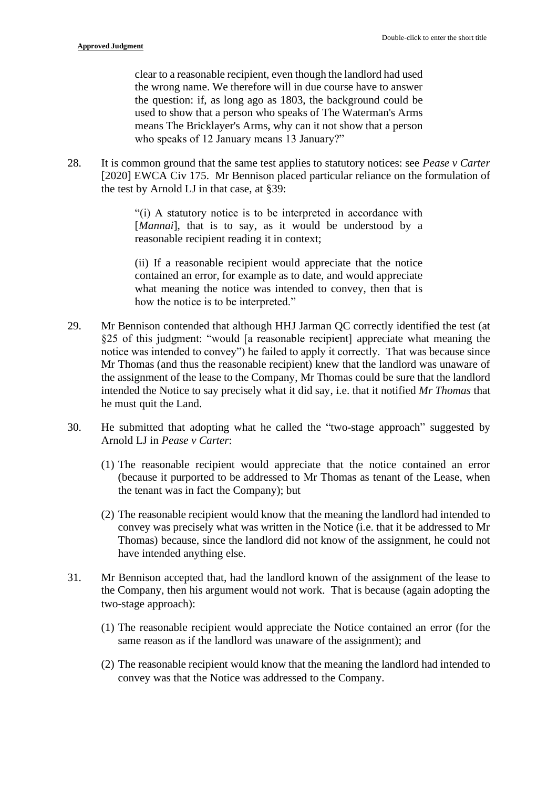clear to a reasonable recipient, even though the landlord had used the wrong name. We therefore will in due course have to answer the question: if, as long ago as 1803, the background could be used to show that a person who speaks of The Waterman's Arms means The Bricklayer's Arms, why can it not show that a person who speaks of 12 January means 13 January?"

28. It is common ground that the same test applies to statutory notices: see *Pease v Carter* [2020] EWCA Civ 175. Mr Bennison placed particular reliance on the formulation of the test by Arnold LJ in that case, at §39:

> "(i) A statutory notice is to be interpreted in accordance with [*Mannai*], that is to say, as it would be understood by a reasonable recipient reading it in context;

> (ii) If a reasonable recipient would appreciate that the notice contained an error, for example as to date, and would appreciate what meaning the notice was intended to convey, then that is how the notice is to be interpreted."

- 29. Mr Bennison contended that although HHJ Jarman QC correctly identified the test (at §25 of this judgment: "would [a reasonable recipient] appreciate what meaning the notice was intended to convey") he failed to apply it correctly. That was because since Mr Thomas (and thus the reasonable recipient) knew that the landlord was unaware of the assignment of the lease to the Company, Mr Thomas could be sure that the landlord intended the Notice to say precisely what it did say, i.e. that it notified *Mr Thomas* that he must quit the Land.
- 30. He submitted that adopting what he called the "two-stage approach" suggested by Arnold LJ in *Pease v Carter*:
	- (1) The reasonable recipient would appreciate that the notice contained an error (because it purported to be addressed to Mr Thomas as tenant of the Lease, when the tenant was in fact the Company); but
	- (2) The reasonable recipient would know that the meaning the landlord had intended to convey was precisely what was written in the Notice (i.e. that it be addressed to Mr Thomas) because, since the landlord did not know of the assignment, he could not have intended anything else.
- 31. Mr Bennison accepted that, had the landlord known of the assignment of the lease to the Company, then his argument would not work. That is because (again adopting the two-stage approach):
	- (1) The reasonable recipient would appreciate the Notice contained an error (for the same reason as if the landlord was unaware of the assignment); and
	- (2) The reasonable recipient would know that the meaning the landlord had intended to convey was that the Notice was addressed to the Company.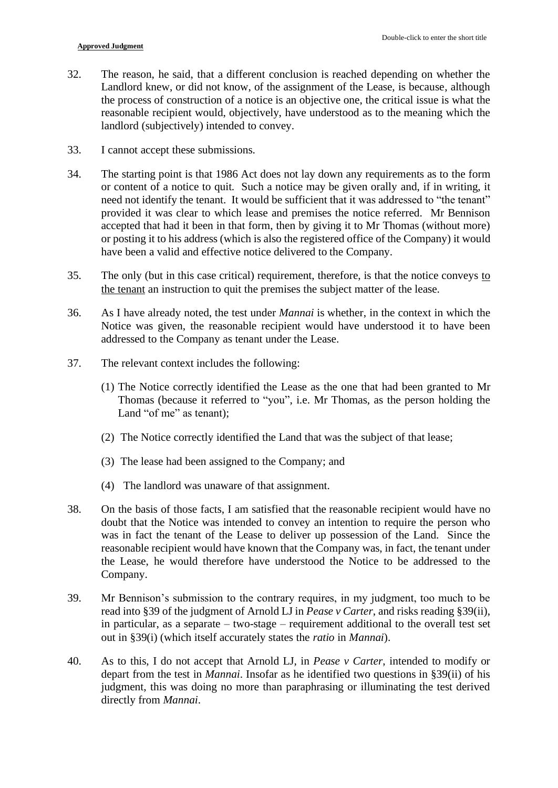- 32. The reason, he said, that a different conclusion is reached depending on whether the Landlord knew, or did not know, of the assignment of the Lease, is because, although the process of construction of a notice is an objective one, the critical issue is what the reasonable recipient would, objectively, have understood as to the meaning which the landlord (subjectively) intended to convey.
- 33. I cannot accept these submissions.
- 34. The starting point is that 1986 Act does not lay down any requirements as to the form or content of a notice to quit. Such a notice may be given orally and, if in writing, it need not identify the tenant. It would be sufficient that it was addressed to "the tenant" provided it was clear to which lease and premises the notice referred. Mr Bennison accepted that had it been in that form, then by giving it to Mr Thomas (without more) or posting it to his address (which is also the registered office of the Company) it would have been a valid and effective notice delivered to the Company.
- 35. The only (but in this case critical) requirement, therefore, is that the notice conveys to the tenant an instruction to quit the premises the subject matter of the lease.
- 36. As I have already noted, the test under *Mannai* is whether, in the context in which the Notice was given, the reasonable recipient would have understood it to have been addressed to the Company as tenant under the Lease.
- 37. The relevant context includes the following:
	- (1) The Notice correctly identified the Lease as the one that had been granted to Mr Thomas (because it referred to "you", i.e. Mr Thomas, as the person holding the Land "of me" as tenant);
	- (2) The Notice correctly identified the Land that was the subject of that lease;
	- (3) The lease had been assigned to the Company; and
	- (4) The landlord was unaware of that assignment.
- 38. On the basis of those facts, I am satisfied that the reasonable recipient would have no doubt that the Notice was intended to convey an intention to require the person who was in fact the tenant of the Lease to deliver up possession of the Land. Since the reasonable recipient would have known that the Company was, in fact, the tenant under the Lease, he would therefore have understood the Notice to be addressed to the Company.
- 39. Mr Bennison's submission to the contrary requires, in my judgment, too much to be read into §39 of the judgment of Arnold LJ in *Pease v Carter*, and risks reading §39(ii), in particular, as a separate – two-stage – requirement additional to the overall test set out in §39(i) (which itself accurately states the *ratio* in *Mannai*).
- 40. As to this, I do not accept that Arnold LJ, in *Pease v Carter*, intended to modify or depart from the test in *Mannai*. Insofar as he identified two questions in §39(ii) of his judgment, this was doing no more than paraphrasing or illuminating the test derived directly from *Mannai*.